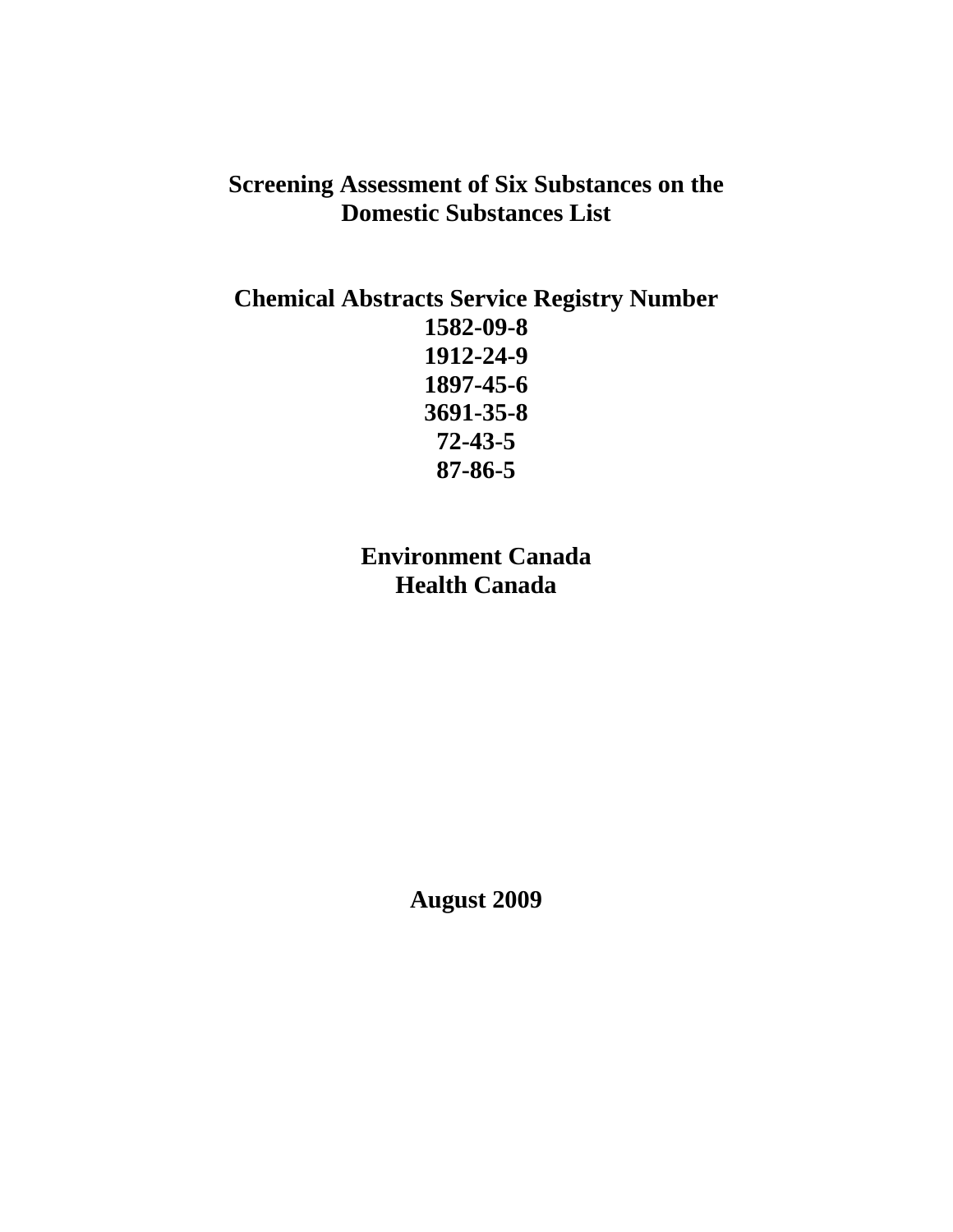# **Screening Assessment of Six Substances on the Domestic Substances List**

## **Chemical Abstracts Service Registry Number 1582-09-8 1912-24-9 1897-45-6 3691-35-8 72-43-5 87-86-5**

**Environment Canada Health Canada** 

**August 2009**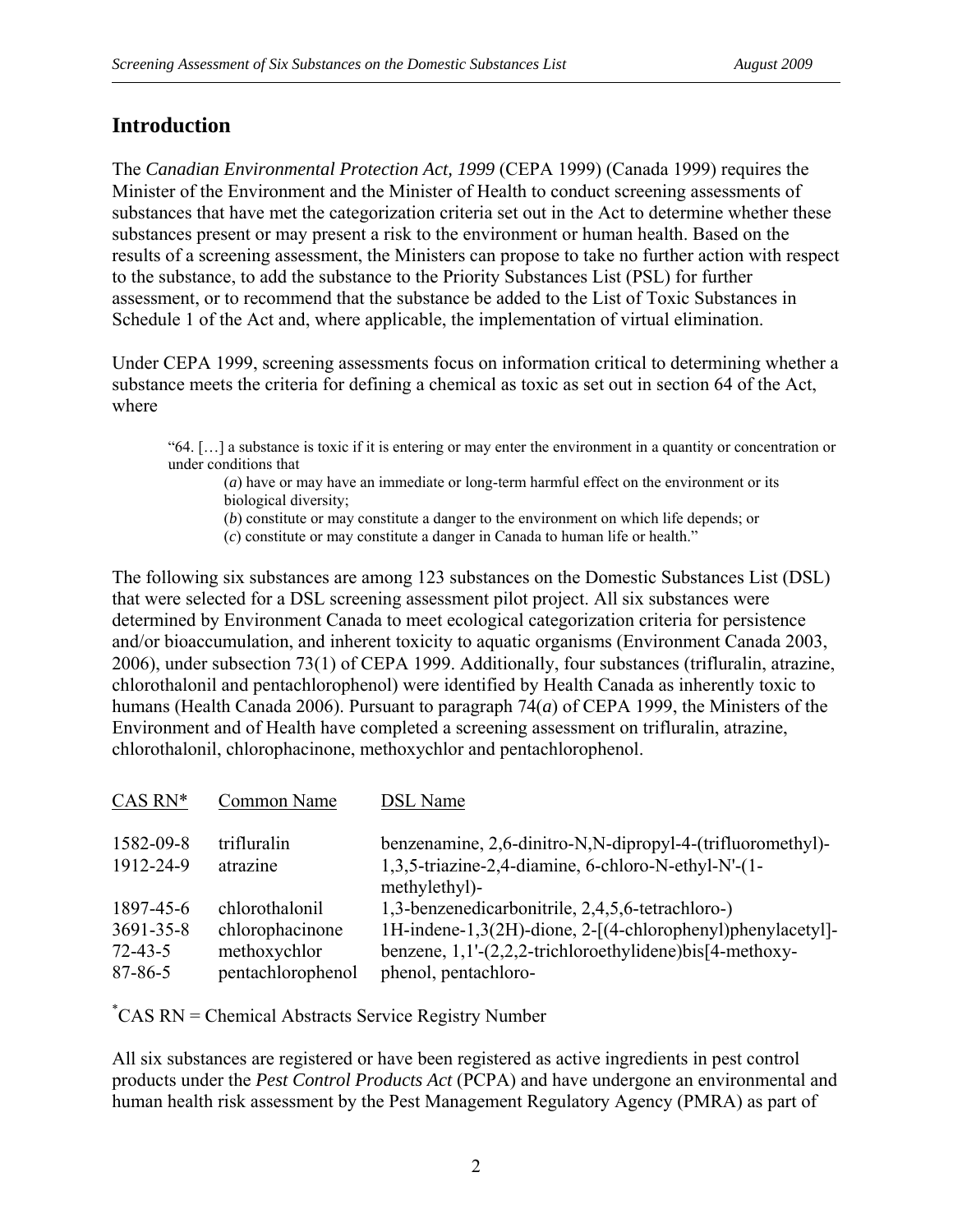## **Introduction**

The *Canadian Environmental Protection Act, 1999* (CEPA 1999) (Canada 1999) requires the Minister of the Environment and the Minister of Health to conduct screening assessments of substances that have met the categorization criteria set out in the Act to determine whether these substances present or may present a risk to the environment or human health. Based on the results of a screening assessment, the Ministers can propose to take no further action with respect to the substance, to add the substance to the Priority Substances List (PSL) for further assessment, or to recommend that the substance be added to the List of Toxic Substances in Schedule 1 of the Act and, where applicable, the implementation of virtual elimination.

Under CEPA 1999, screening assessments focus on information critical to determining whether a substance meets the criteria for defining a chemical as toxic as set out in section 64 of the Act, where

"64. […] a substance is toxic if it is entering or may enter the environment in a quantity or concentration or under conditions that

(*a*) have or may have an immediate or long-term harmful effect on the environment or its biological diversity;

(*b*) constitute or may constitute a danger to the environment on which life depends; or

(*c*) constitute or may constitute a danger in Canada to human life or health."

The following six substances are among 123 substances on the Domestic Substances List (DSL) that were selected for a DSL screening assessment pilot project. All six substances were determined by Environment Canada to meet ecological categorization criteria for persistence and/or bioaccumulation, and inherent toxicity to aquatic organisms (Environment Canada 2003, 2006), under subsection 73(1) of CEPA 1999. Additionally, four substances (trifluralin, atrazine, chlorothalonil and pentachlorophenol) were identified by Health Canada as inherently toxic to humans (Health Canada 2006). Pursuant to paragraph 74(*a*) of CEPA 1999, the Ministers of the Environment and of Health have completed a screening assessment on trifluralin, atrazine, chlorothalonil, chlorophacinone, methoxychlor and pentachlorophenol.

| $CAS RN*$       | Common Name       | <b>DSL</b> Name                                                      |
|-----------------|-------------------|----------------------------------------------------------------------|
| 1582-09-8       | trifluralin       | benzenamine, 2,6-dinitro-N,N-dipropyl-4-(trifluoromethyl)-           |
| 1912-24-9       | atrazine          | 1,3,5-triazine-2,4-diamine, 6-chloro-N-ethyl-N'-(1-<br>methylethyl)- |
| 1897-45-6       | chlorothalonil    | 1,3-benzenedicarbonitrile, 2,4,5,6-tetrachloro-)                     |
| $3691 - 35 - 8$ | chlorophacinone   | 1H-indene-1,3(2H)-dione, 2-[(4-chlorophenyl)phenylacetyl]-           |
| $72 - 43 - 5$   | methoxychlor      | benzene, $1,1'-(2,2,2-$ trichloroethylidene)bis[4-methoxy-           |
| $87 - 86 - 5$   | pentachlorophenol | phenol, pentachloro-                                                 |

\* CAS RN = Chemical Abstracts Service Registry Number

All six substances are registered or have been registered as active ingredients in pest control products under the *Pest Control Products Act* (PCPA) and have undergone an environmental and human health risk assessment by the Pest Management Regulatory Agency (PMRA) as part of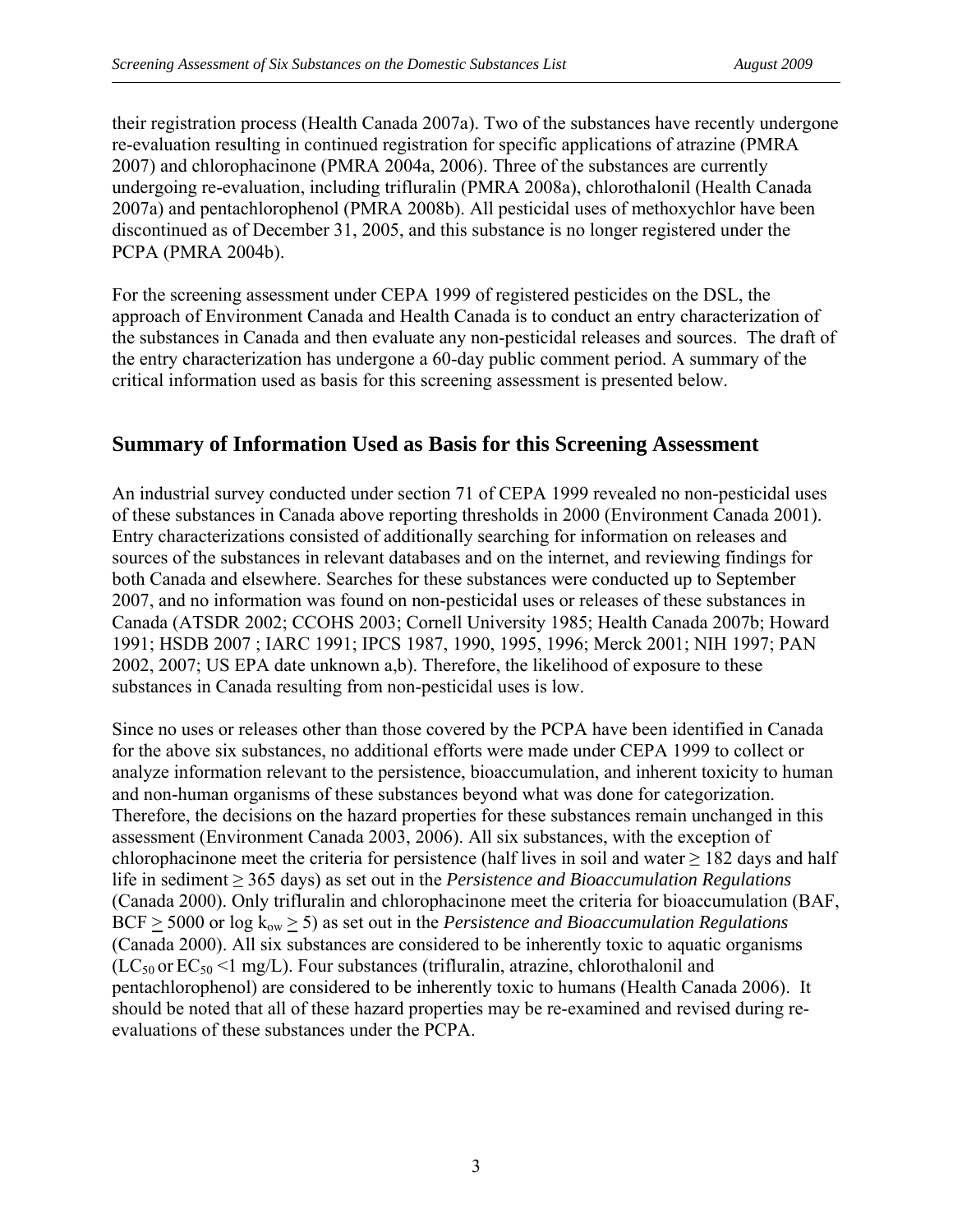their registration process (Health Canada 2007a). Two of the substances have recently undergone re-evaluation resulting in continued registration for specific applications of atrazine (PMRA 2007) and chlorophacinone (PMRA 2004a, 2006). Three of the substances are currently undergoing re-evaluation, including trifluralin (PMRA 2008a), chlorothalonil (Health Canada 2007a) and pentachlorophenol (PMRA 2008b). All pesticidal uses of methoxychlor have been discontinued as of December 31, 2005, and this substance is no longer registered under the PCPA (PMRA 2004b).

For the screening assessment under CEPA 1999 of registered pesticides on the DSL, the approach of Environment Canada and Health Canada is to conduct an entry characterization of the substances in Canada and then evaluate any non-pesticidal releases and sources. The draft of the entry characterization has undergone a 60-day public comment period. A summary of the critical information used as basis for this screening assessment is presented below.

#### **Summary of Information Used as Basis for this Screening Assessment**

An industrial survey conducted under section 71 of CEPA 1999 revealed no non-pesticidal uses of these substances in Canada above reporting thresholds in 2000 (Environment Canada 2001). Entry characterizations consisted of additionally searching for information on releases and sources of the substances in relevant databases and on the internet, and reviewing findings for both Canada and elsewhere. Searches for these substances were conducted up to September 2007, and no information was found on non-pesticidal uses or releases of these substances in Canada (ATSDR 2002; CCOHS 2003; Cornell University 1985; Health Canada 2007b; Howard 1991; HSDB 2007 ; IARC 1991; IPCS 1987, 1990, 1995, 1996; Merck 2001; NIH 1997; PAN 2002, 2007; US EPA date unknown a,b). Therefore, the likelihood of exposure to these substances in Canada resulting from non-pesticidal uses is low.

Since no uses or releases other than those covered by the PCPA have been identified in Canada for the above six substances, no additional efforts were made under CEPA 1999 to collect or analyze information relevant to the persistence, bioaccumulation, and inherent toxicity to human and non-human organisms of these substances beyond what was done for categorization. Therefore, the decisions on the hazard properties for these substances remain unchanged in this assessment (Environment Canada 2003, 2006). All six substances, with the exception of chlorophacinone meet the criteria for persistence (half lives in soil and water  $\geq$  182 days and half life in sediment ≥ 365 days) as set out in the *Persistence and Bioaccumulation Regulations* (Canada 2000). Only trifluralin and chlorophacinone meet the criteria for bioaccumulation (BAF,  $BCF > 5000$  or  $log k_{ow} > 5$ ) as set out in the *Persistence and Bioaccumulation Regulations* (Canada 2000). All six substances are considered to be inherently toxic to aquatic organisms  $(LC_{50}$  or  $EC_{50}$  <1 mg/L). Four substances (trifluralin, atrazine, chlorothalonil and pentachlorophenol) are considered to be inherently toxic to humans (Health Canada 2006). It should be noted that all of these hazard properties may be re-examined and revised during reevaluations of these substances under the PCPA.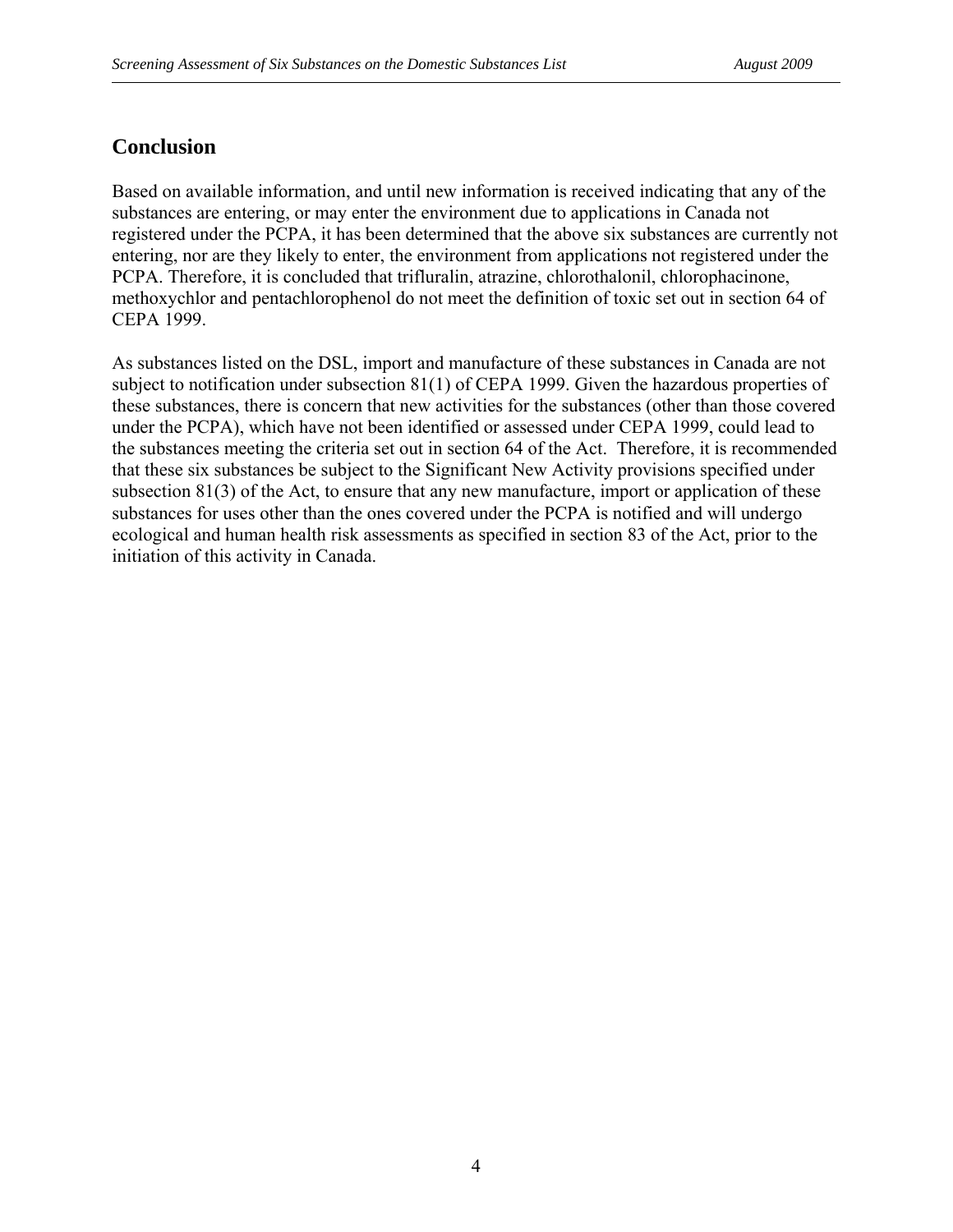### **Conclusion**

Based on available information, and until new information is received indicating that any of the substances are entering, or may enter the environment due to applications in Canada not registered under the PCPA, it has been determined that the above six substances are currently not entering, nor are they likely to enter, the environment from applications not registered under the PCPA. Therefore, it is concluded that trifluralin, atrazine, chlorothalonil, chlorophacinone, methoxychlor and pentachlorophenol do not meet the definition of toxic set out in section 64 of CEPA 1999.

As substances listed on the DSL, import and manufacture of these substances in Canada are not subject to notification under subsection 81(1) of CEPA 1999. Given the hazardous properties of these substances, there is concern that new activities for the substances (other than those covered under the PCPA), which have not been identified or assessed under CEPA 1999, could lead to the substances meeting the criteria set out in section 64 of the Act. Therefore, it is recommended that these six substances be subject to the Significant New Activity provisions specified under subsection 81(3) of the Act, to ensure that any new manufacture, import or application of these substances for uses other than the ones covered under the PCPA is notified and will undergo ecological and human health risk assessments as specified in section 83 of the Act, prior to the initiation of this activity in Canada.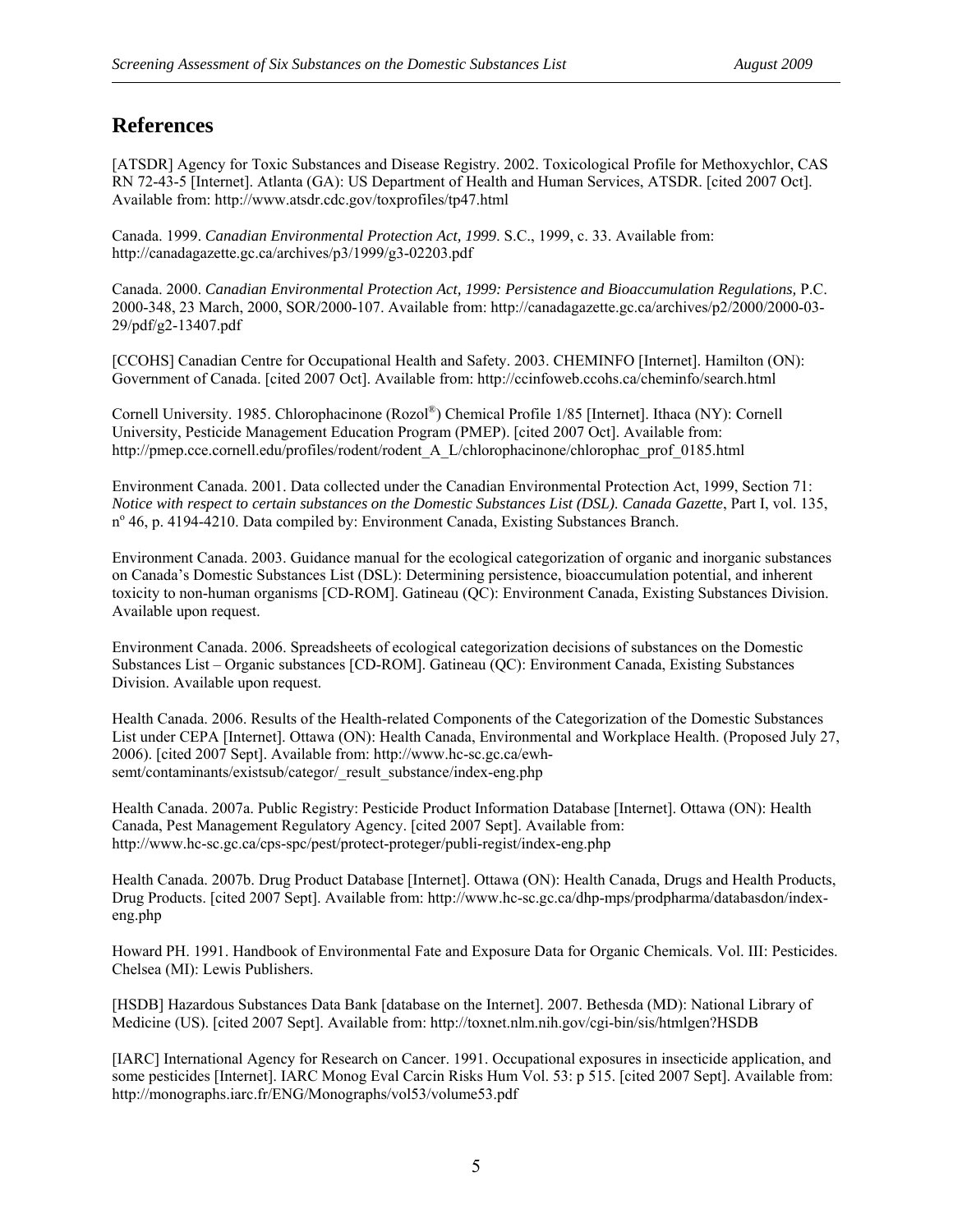#### **References**

[ATSDR] Agency for Toxic Substances and Disease Registry. 2002. Toxicological Profile for Methoxychlor, CAS RN 72-43-5 [Internet]. Atlanta (GA): US Department of Health and Human Services, ATSDR. [cited 2007 Oct]. Available from:<http://www.atsdr.cdc.gov/toxprofiles/tp47.html>

Canada. 1999. *Canadian Environmental Protection Act, 1999*. S.C., 1999, c. 33. Available from: <http://canadagazette.gc.ca/archives/p3/1999/g3-02203.pdf>

Canada. 2000. *Canadian Environmental Protection Act, 1999: Persistence and Bioaccumulation Regulations,* P.C. 2000-348, 23 March, 2000, SOR/2000-107. Available from: [http://canadagazette.gc.ca/archives/p2/2000/2000-03-](http://canadagazette.gc.ca/archives/p2/2000/2000-03-29/pdf/g2-13407.pdf) [29/pdf/g2-13407.pdf](http://canadagazette.gc.ca/archives/p2/2000/2000-03-29/pdf/g2-13407.pdf)

[CCOHS] Canadian Centre for Occupational Health and Safety. 2003. CHEMINFO [Internet]. Hamilton (ON): Government of Canada. [cited 2007 Oct]. Available from: <http://ccinfoweb.ccohs.ca/cheminfo/search.html>

Cornell University. 1985. Chlorophacinone (Rozol®) Chemical Profile 1/85 [Internet]. Ithaca (NY): Cornell University, Pesticide Management Education Program (PMEP). [cited 2007 Oct]. Available from: http://pmep.cce.cornell.edu/profiles/rodent/rodent A\_L/chlorophacinone/chlorophac\_prof\_0185.html

Environment Canada. 2001. Data collected under the Canadian Environmental Protection Act, 1999, Section 71: *Notice with respect to certain substances on the Domestic Substances List (DSL)*. *Canada Gazette*, Part I, vol. 135, n<sup>o</sup> 46, p. 4194-4210. Data compiled by: Environment Canada, Existing Substances Branch.

Environment Canada. 2003. Guidance manual for the ecological categorization of organic and inorganic substances on Canada's Domestic Substances List (DSL): Determining persistence, bioaccumulation potential, and inherent toxicity to non-human organisms [CD-ROM]. Gatineau (QC): Environment Canada, Existing Substances Division. Available upon request.

Environment Canada. 2006. Spreadsheets of ecological categorization decisions of substances on the Domestic Substances List – Organic substances [CD-ROM]. Gatineau (QC): Environment Canada, Existing Substances Division. Available upon request.

Health Canada. 2006. Results of the Health-related Components of the Categorization of the Domestic Substances List under CEPA [Internet]. Ottawa (ON): Health Canada, Environmental and Workplace Health. (Proposed July 27, 2006). [cited 2007 Sept]. Available from: [http://www.hc-sc.gc.ca/ewh](http://www.hc-sc.gc.ca/ewh-semt/contaminants/existsub/categor/_result_substance/index-eng.php)semt/contaminants/existsub/categor/\_result\_substance/index-eng.php

Health Canada. 2007a. Public Registry: Pesticide Product Information Database [Internet]. Ottawa (ON): Health Canada, Pest Management Regulatory Agency. [cited 2007 Sept]. Available from: <http://www.hc-sc.gc.ca/cps-spc/pest/protect-proteger/publi-regist/index-eng.php>

Health Canada. 2007b. Drug Product Database [Internet]. Ottawa (ON): Health Canada, Drugs and Health Products, Drug Products. [cited 2007 Sept]. Available from: [http://www.hc-sc.gc.ca/dhp-mps/prodpharma/databasdon/index](http://www.hc-sc.gc.ca/dhp-mps/prodpharma/databasdon/index-eng.php)[eng.php](http://www.hc-sc.gc.ca/dhp-mps/prodpharma/databasdon/index-eng.php) 

Howard PH. 1991. Handbook of Environmental Fate and Exposure Data for Organic Chemicals. Vol. III: Pesticides. Chelsea (MI): Lewis Publishers.

[HSDB] Hazardous Substances Data Bank [database on the Internet]. 2007. Bethesda (MD): National Library of Medicine (US). [cited 2007 Sept]. Available from: <http://toxnet.nlm.nih.gov/cgi-bin/sis/htmlgen?HSDB>

[IARC] International Agency for Research on Cancer. 1991. Occupational exposures in insecticide application, and some pesticides [Internet]. IARC Monog Eval Carcin Risks Hum Vol. 53: p 515. [cited 2007 Sept]. Available from: <http://monographs.iarc.fr/ENG/Monographs/vol53/volume53.pdf>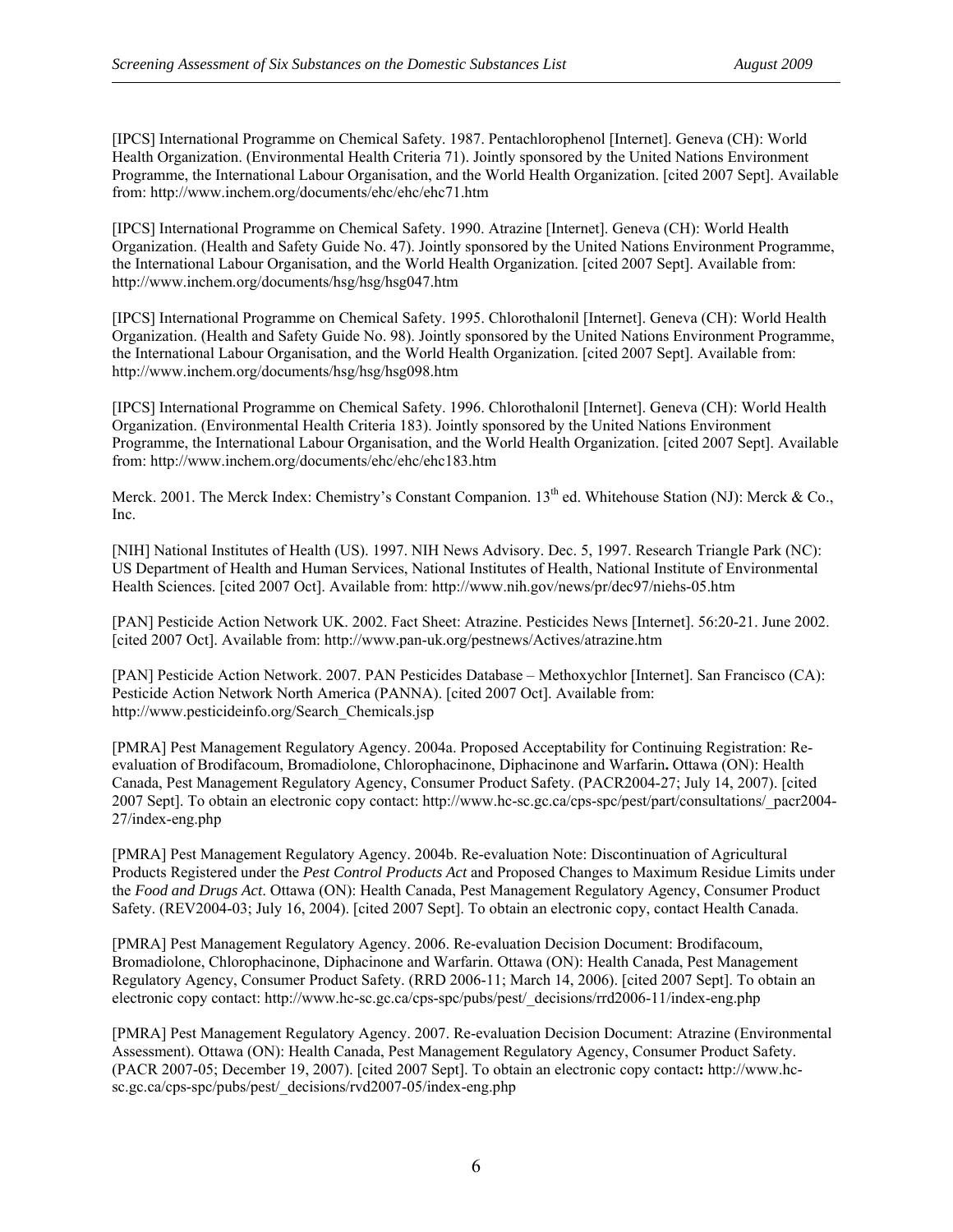[IPCS] International Programme on Chemical Safety. 1987. Pentachlorophenol [Internet]. Geneva (CH): World Health Organization. (Environmental Health Criteria 71). Jointly sponsored by the United Nations Environment Programme, the International Labour Organisation, and the World Health Organization. [cited 2007 Sept]. Available from: <http://www.inchem.org/documents/ehc/ehc/ehc71.htm>

[IPCS] International Programme on Chemical Safety. 1990. Atrazine [Internet]. Geneva (CH): World Health Organization. (Health and Safety Guide No. 47). Jointly sponsored by the United Nations Environment Programme, the International Labour Organisation, and the World Health Organization. [cited 2007 Sept]. Available from: <http://www.inchem.org/documents/hsg/hsg/hsg047.htm>

[IPCS] International Programme on Chemical Safety. 1995. Chlorothalonil [Internet]. Geneva (CH): World Health Organization. (Health and Safety Guide No. 98). Jointly sponsored by the United Nations Environment Programme, the International Labour Organisation, and the World Health Organization. [cited 2007 Sept]. Available from: <http://www.inchem.org/documents/hsg/hsg/hsg098.htm>

[IPCS] International Programme on Chemical Safety. 1996. Chlorothalonil [Internet]. Geneva (CH): World Health Organization. (Environmental Health Criteria 183). Jointly sponsored by the United Nations Environment Programme, the International Labour Organisation, and the World Health Organization. [cited 2007 Sept]. Available from: <http://www.inchem.org/documents/ehc/ehc/ehc183.htm>

Merck. 2001. The Merck Index: Chemistry's Constant Companion. 13<sup>th</sup> ed. Whitehouse Station (NJ): Merck & Co., Inc.

[NIH] National Institutes of Health (US). 1997. NIH News Advisory. Dec. 5, 1997. Research Triangle Park (NC): US Department of Health and Human Services, National Institutes of Health, National Institute of Environmental Health Sciences. [cited 2007 Oct]. Available from: <http://www.nih.gov/news/pr/dec97/niehs-05.htm>

[PAN] Pesticide Action Network UK. 2002. Fact Sheet: Atrazine. Pesticides News [Internet]. 56:20-21. June 2002. [cited 2007 Oct]. Available from: <http://www.pan-uk.org/pestnews/Actives/atrazine.htm>

[PAN] Pesticide Action Network. 2007. PAN Pesticides Database – Methoxychlor [Internet]. San Francisco (CA): Pesticide Action Network North America (PANNA). [cited 2007 Oct]. Available from: [http://www.pesticideinfo.org/Search\\_Chemicals.jsp](http://www.pesticideinfo.org/Search_Chemicals.jsp) 

[PMRA] Pest Management Regulatory Agency. 2004a. Proposed Acceptability for Continuing Registration: Reevaluation of Brodifacoum, Bromadiolone, Chlorophacinone, Diphacinone and Warfarin**.** Ottawa (ON): Health Canada, Pest Management Regulatory Agency, Consumer Product Safety. (PACR2004-27; July 14, 2007). [cited 2007 Sept]. To obtain an electronic copy contact: [http://www.hc-sc.gc.ca/cps-spc/pest/part/consultations/\\_pacr2004-](http://www.hc-sc.gc.ca/cps-spc/pest/part/consultations/_pacr2004-27/index-eng.php) [27/index-eng.php](http://www.hc-sc.gc.ca/cps-spc/pest/part/consultations/_pacr2004-27/index-eng.php)

[PMRA] Pest Management Regulatory Agency. 2004b. Re-evaluation Note: Discontinuation of Agricultural Products Registered under the *Pest Control Products Act* and Proposed Changes to Maximum Residue Limits under the *Food and Drugs Act*. Ottawa (ON): Health Canada, Pest Management Regulatory Agency, Consumer Product Safety. (REV2004-03; July 16, 2004). [cited 2007 Sept]. To obtain an electronic copy, contact Health Canada.

[PMRA] Pest Management Regulatory Agency. 2006. Re-evaluation Decision Document: Brodifacoum, Bromadiolone, Chlorophacinone, Diphacinone and Warfarin. Ottawa (ON): Health Canada, Pest Management Regulatory Agency, Consumer Product Safety. (RRD 2006-11; March 14, 2006). [cited 2007 Sept]. To obtain an electronic copy contact: [http://www.hc-sc.gc.ca/cps-spc/pubs/pest/\\_decisions/rrd2006-11/index-eng.php](http://www.hc-sc.gc.ca/cps-spc/pubs/pest/_decisions/rrd2006-11/index-eng.php) 

[PMRA] Pest Management Regulatory Agency. 2007. Re-evaluation Decision Document: Atrazine (Environmental Assessment). Ottawa (ON): Health Canada, Pest Management Regulatory Agency, Consumer Product Safety. (PACR 2007-05; December 19, 2007). [cited 2007 Sept]. To obtain an electronic copy contact**:** [http://www.hc](http://www.hc-sc.gc.ca/cps-spc/pubs/pest/_decisions/rvd2007-05/index-eng.php)[sc.gc.ca/cps-spc/pubs/pest/\\_decisions/rvd2007-05/index-eng.php](http://www.hc-sc.gc.ca/cps-spc/pubs/pest/_decisions/rvd2007-05/index-eng.php)